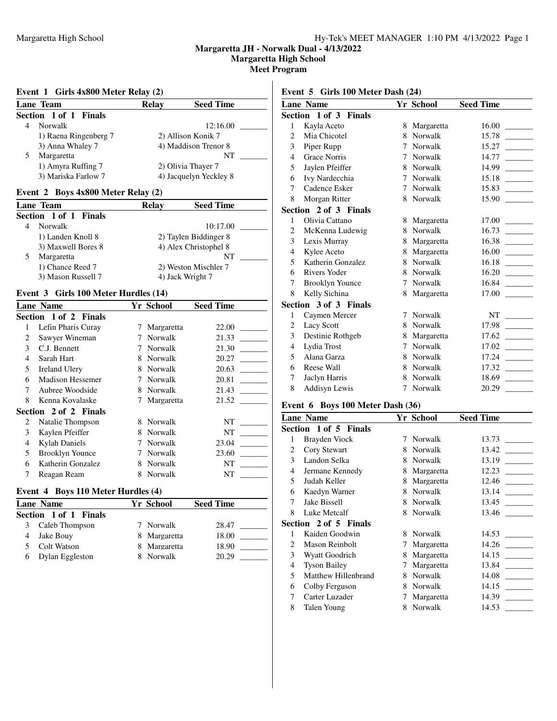**Margaretta High School**

**Meet Program**

### **Event 1 Girls 4x800 Meter Relay (2)**

| Lane Team             | <b>Seed Time</b><br><b>Relay</b> |
|-----------------------|----------------------------------|
| Section 1 of 1 Finals |                                  |
| Norwalk               | 12:16.00                         |
| 1) Raena Ringenberg 7 | 2) Allison Konik 7               |
| 3) Anna Whaley 7      | 4) Maddison Trenor 8             |
| Margaretta            | NT                               |
| 1) Amyra Ruffing 7    | 2) Olivia Thayer 7               |
| 3) Mariska Farlow 7   | 4) Jacquelyn Yeckley 8           |

### **Event 2 Boys 4x800 Meter Relay (2)**

| Lane Team             | <b>Relay</b> | <b>Seed Time</b>      |  |
|-----------------------|--------------|-----------------------|--|
| Section 1 of 1 Finals |              |                       |  |
| Norwalk               |              | 10:17.00              |  |
| 1) Landen Knoll 8     |              | 2) Taylen Biddinger 8 |  |
| 3) Maxwell Bores 8    |              | 4) Alex Christophel 8 |  |
| Margaretta            |              | NT                    |  |
| 1) Chance Reed 7      |              | 2) Weston Mischler 7  |  |
| 3) Mason Russell 7    |              | 4) Jack Wright 7      |  |

### **Event 3 Girls 100 Meter Hurdles (14)**

|   | <b>Lane Name</b>        |   | Yr School      | <b>Seed Time</b> |
|---|-------------------------|---|----------------|------------------|
|   | Section 1 of 2 Finals   |   |                |                  |
|   | Lefin Pharis Curay      | 7 | Margaretta     | 22.00            |
| 2 | Sawyer Wineman          | 7 | <b>Norwalk</b> | 21.33            |
| 3 | C.J. Bennett            | 7 | Norwalk        | 21.30            |
| 4 | Sarah Hart              | 8 | Norwalk        | 20.27            |
| 5 | Ireland Ulery           | 8 | Norwalk        | 20.63            |
| 6 | <b>Madison Hessemer</b> | 7 | Norwalk        | 20.81            |
| 7 | Aubree Woodside         | 8 | Norwalk        | 21.43            |
| 8 | Kenna Kovalaske         | 7 | Margaretta     | 21.52            |
|   | Section 2 of 2 Finals   |   |                |                  |
| 2 | Natalie Thompson        | 8 | Norwalk        | NT               |
| 3 | Kaylen Pfeiffer         | 8 | Norwalk        | NT               |
| 4 | <b>Kylah Daniels</b>    |   | Norwalk        | 23.04            |
| 5 | <b>Brooklyn Younce</b>  | 7 | Norwalk        | 23.60            |
| 6 | Katherin Gonzalez       | 8 | Norwalk        | NT               |
|   | Reagan Ream             | 8 | Norwalk        | NT               |
|   |                         |   |                |                  |

# **Event 4 Boys 110 Meter Hurdles (4)**

| Lane Name             | Yr School    | <b>Seed Time</b> |
|-----------------------|--------------|------------------|
| Section 1 of 1 Finals |              |                  |
| Caleb Thompson        | 7 Norwalk    | 28.47            |
| Jake Bouy             | 8 Margaretta | 18.00            |
| Colt Watson           | 8 Margaretta | 18.90            |
| Dylan Eggleston       | 8 Norwalk    | 20.29            |

### **Event 5 Girls 100 Meter Dash (24)**

|   | <b>Lane Name</b>       |   | Yr School      | <b>Seed Time</b> |
|---|------------------------|---|----------------|------------------|
|   | Section 1 of 3 Finals  |   |                |                  |
| 1 | Kayla Aceto            | 8 | Margaretta     | 16.00            |
| 2 | Mia Chicotel           | 8 | Norwalk        | 15.78            |
| 3 | Piper Rupp             | 7 | Norwalk        | 15.27            |
| 4 | <b>Grace Norris</b>    | 7 | Norwalk        | 14.77            |
| 5 | Jaylen Pfeiffer        | 8 | Norwalk        | 14.99            |
| 6 | Ivy Nardecchia         | 7 | Norwalk        | 15.18            |
| 7 | Cadence Esker          | 7 | <b>Norwalk</b> | 15.83            |
| 8 | Morgan Ritter          | 8 | Norwalk        | 15.90            |
|   | Section 2 of 3 Finals  |   |                |                  |
| 1 | Olivia Cattano         | 8 | Margaretta     | 17.00            |
| 2 | McKenna Ludewig        | 8 | Norwalk        | 16.73            |
| 3 | Lexis Murray           | 8 | Margaretta     | 16.38            |
| 4 | Kylee Aceto            | 8 | Margaretta     | 16.00            |
| 5 | Katherin Gonzalez      | 8 | <b>Norwalk</b> | 16.18            |
| 6 | <b>Rivers Yoder</b>    | 8 | Norwalk        | 16.20            |
| 7 | <b>Brooklyn Younce</b> | 7 | Norwalk        | 16.84            |
| 8 | Kelly Sichina          | 8 | Margaretta     | 17.00            |
|   | Section 3 of 3 Finals  |   |                |                  |
| 1 | Caymen Mercer          | 7 | Norwalk        | NT               |
| 2 | <b>Lacy Scott</b>      | 8 | Norwalk        | 17.98            |
| 3 | Destinie Rothgeb       | 8 | Margaretta     | 17.62            |
| 4 | Lydia Trost            | 7 | <b>Norwalk</b> | 17.02            |
| 5 | Alana Garza            | 8 | Norwalk        | 17.24            |
| 6 | Reese Wall             | 8 | Norwalk        | 17.32            |
| 7 | Jaclyn Harris          | 8 | Norwalk        | 18.69            |
| 8 | <b>Addisyn Lewis</b>   | 7 | Norwalk        | 20.29            |
|   |                        |   |                |                  |

# **Event 6 Boys 100 Meter Dash (36)**

|                | <b>Lane Name</b>      |   | Yr School  | <b>Seed Time</b>                  |
|----------------|-----------------------|---|------------|-----------------------------------|
|                | Section 1 of 5 Finals |   |            |                                   |
| 1              | Brayden Viock         | 7 | Norwalk    | 13.73                             |
| 2              | Cory Stewart          | 8 | Norwalk    | 13.42<br><b>Contract Contract</b> |
| 3              | Landon Selka          | 8 | Norwalk    | 13.19                             |
| 4              | Jermane Kennedy       | 8 | Margaretta | 12.23                             |
| 5              | Judah Keller          | 8 | Margaretta | 12.46                             |
| 6              | Kaedyn Warner         | 8 | Norwalk    | 13.14                             |
| 7              | Jake Bissell          | 8 | Norwalk    | 13.45                             |
| 8              | Luke Metcalf          | 8 | Norwalk    | 13.46                             |
|                | Section 2 of 5 Finals |   |            |                                   |
| 1              | Kaiden Goodwin        | 8 | Norwalk    | 14.53                             |
| $\mathfrak{D}$ | Mason Reinbolt        | 7 | Margaretta | 14.26                             |
| 3              | Wyatt Goodrich        | 8 | Margaretta | 14.15                             |
| 4              | <b>Tyson Bailey</b>   | 7 | Margaretta | 13.84                             |
| 5              | Matthew Hillenbrand   | 8 | Norwalk    | 14.08                             |
| 6              | Colby Ferguson        | 8 | Norwalk    | 14.15                             |
| 7              | Carter Luzader        | 7 | Margaretta | 14.39                             |
| 8              | Talen Young           | 8 | Norwalk    | 14.53                             |
|                |                       |   |            |                                   |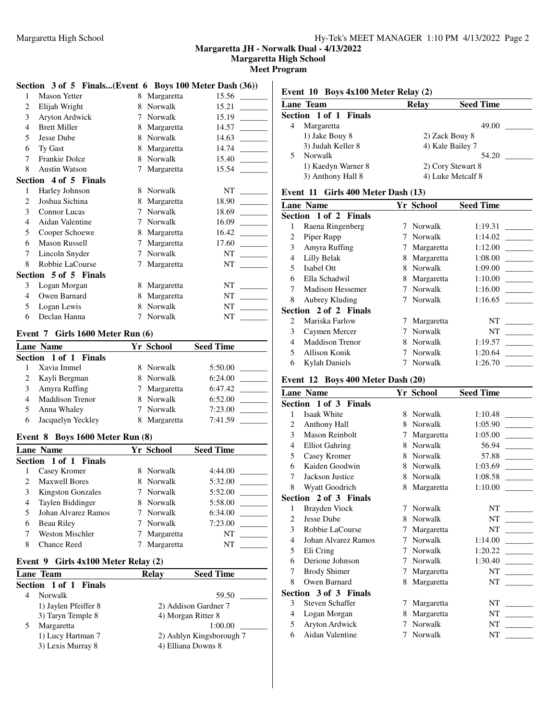**Margaretta High School**

**Meet Program**

# **Section 3 of 5 Finals...(Event 6 Boys 100 Meter Dash (36))**

| 1 | <b>Mason Yetter</b>   | 8 | Margaretta | 15.56 |
|---|-----------------------|---|------------|-------|
| 2 | Elijah Wright         | 8 | Norwalk    | 15.21 |
| 3 | Aryton Ardwick        | 7 | Norwalk    | 15.19 |
| 4 | <b>Brett Miller</b>   | 8 | Margaretta | 14.57 |
| 5 | Jesse Dube            | 8 | Norwalk    | 14.63 |
| 6 | Ty Gast               | 8 | Margaretta | 14.74 |
| 7 | <b>Frankie Dolce</b>  | 8 | Norwalk    | 15.40 |
| 8 | <b>Austin Watson</b>  | 7 | Margaretta | 15.54 |
|   | Section 4 of 5 Finals |   |            |       |
| 1 | Harley Johnson        | 8 | Norwalk    | NT    |
| 2 | Joshua Sichina        | 8 | Margaretta | 18.90 |
| 3 | <b>Connor</b> Lucas   | 7 | Norwalk    | 18.69 |
| 4 | Aidan Valentine       | 7 | Norwalk    | 16.09 |
| 5 | Cooper Schoewe        | 8 | Margaretta | 16.42 |
| 6 | Mason Russell         | 7 | Margaretta | 17.60 |
| 7 | Lincoln Snyder        | 7 | Norwalk    | NT    |
| 8 | Robbie LaCourse       | 7 | Margaretta | NT    |
|   | Section 5 of 5 Finals |   |            |       |
| 3 | Logan Morgan          | 8 | Margaretta | NT    |
| 4 | Owen Barnard          | 8 | Margaretta | NT    |
| 5 | Logan Lewis           | 8 | Norwalk    | NT    |
| 6 | Declan Hanna          | 7 | Norwalk    | NT    |

# **Event 7 Girls 1600 Meter Run (6)**

| <b>Lane Name</b> |                        |    | Yr School  | <b>Seed Time</b> |
|------------------|------------------------|----|------------|------------------|
|                  | Section 1 of 1 Finals  |    |            |                  |
|                  | Xavia Immel            | 8. | Norwalk    | 5:50.00          |
|                  | Kayli Bergman          |    | 8 Norwalk  | 6:24.00          |
|                  | Amyra Ruffing          | 7  | Margaretta | 6:47.42          |
|                  | <b>Maddison Trenor</b> | 8. | Norwalk    | 6:52.00          |
|                  | Anna Whaley            |    | 7 Norwalk  | 7:23.00          |
|                  | Jacquelyn Yeckley      |    | Margaretta | 7:41.59          |

### **Event 8 Boys 1600 Meter Run (8)**

|   | <b>Lane Name</b>         | <b>Yr School</b> | <b>Seed Time</b> |
|---|--------------------------|------------------|------------------|
|   | Section 1 of 1 Finals    |                  |                  |
|   | Casey Kromer             | 8 Norwalk        | 4:44.00          |
|   | <b>Maxwell Bores</b>     | 8 Norwalk        | 5:32.00          |
| 3 | <b>Kingston Gonzales</b> | 7 Norwalk        | 5:52.00          |
| 4 | Taylen Biddinger         | 8 Norwalk        | 5:58.00          |
|   | Johan Alvarez Ramos      | 7 Norwalk        | 6:34.00          |
| 6 | Beau Riley               | Norwalk          | 7:23.00          |
|   | Weston Mischler          | Margaretta       | NT               |
| 8 | <b>Chance Reed</b>       | Margaretta       | NT               |

### **Event 9 Girls 4x100 Meter Relay (2)**

| Lane Team             | Relav | <b>Seed Time</b>         |
|-----------------------|-------|--------------------------|
| Section 1 of 1 Finals |       |                          |
| Norwalk               |       | 59.50                    |
| 1) Jaylen Pfeiffer 8  |       | 2) Addison Gardner 7     |
| 3) Taryn Temple 8     |       | 4) Morgan Ritter 8       |
| Margaretta            |       | 1:00.00                  |
| 1) Lucy Hartman 7     |       | 2) Ashlyn Kingsborough 7 |
| 3) Lexis Murray 8     |       | 4) Elliana Downs 8       |
|                       |       |                          |

| <b>Lane Team</b>      | <b>Relav</b> | <b>Seed Time</b>  |
|-----------------------|--------------|-------------------|
| Section 1 of 1 Finals |              |                   |
| Margaretta            |              | 49.00             |
| 1) Jake Bouy 8        |              | 2) Zack Bouy 8    |
| 3) Judah Keller 8     |              | 4) Kale Bailey 7  |
| <b>Norwalk</b>        |              | 54.20             |
| 1) Kaedyn Warner 8    |              | 2) Cory Stewart 8 |
| 3) Anthony Hall 8     |              | 4) Luke Metcalf 8 |
|                       |              |                   |

### **Event 11 Girls 400 Meter Dash (13)**

| <b>Lane Name</b>                                |   | Yr School  | <b>Seed Time</b>                    |
|-------------------------------------------------|---|------------|-------------------------------------|
| <b>Section 1 of 2 Finals</b>                    |   |            |                                     |
| Raena Ringenberg<br>1                           | 7 | Norwalk    | 1:19.31                             |
| Piper Rupp<br>2                                 |   | Norwalk    | 1:14.02                             |
| Amyra Ruffing<br>3                              | 7 | Margaretta | 1:12.00<br><b>Contract Contract</b> |
| Lilly Belak<br>4                                | 8 | Margaretta | 1:08.00                             |
| 5.<br>Isabel Ott                                | 8 | Norwalk    | 1:09.00                             |
| Ella Schadwil<br>6                              | 8 | Margaretta | 1:10.00                             |
| 7<br>Madison Hessemer                           |   | Norwalk    | 1:16.00                             |
| 8<br>Aubrey Kluding                             | 7 | Norwalk    | 1:16.65                             |
| Section 2 of 2 Finals                           |   |            |                                     |
| Mariska Farlow<br>$\mathfrak{D}_{\mathfrak{p}}$ |   | Margaretta | NT                                  |
| 3<br>Caymen Mercer                              |   | Norwalk    | NT                                  |
| <b>Maddison Trenor</b><br>4                     | 8 | Norwalk    | 1:19.57                             |
| 5<br>Allison Konik                              | 7 | Norwalk    | 1:20.64                             |
| 6<br><b>Kylah Daniels</b>                       |   | Norwalk    | 1:26.70                             |

# **Event 12 Boys 400 Meter Dash (20)**

|   | <b>Lane Name</b>       |   | Yr School      | <b>Seed Time</b> |
|---|------------------------|---|----------------|------------------|
|   | Section 1 of 3 Finals  |   |                |                  |
| 1 | Isaak White            | 8 | Norwalk        | 1:10.48          |
| 2 | Anthony Hall           | 8 | Norwalk        | 1:05.90          |
| 3 | <b>Mason Reinbolt</b>  | 7 | Margaretta     | 1:05.00          |
| 4 | <b>Elliot Gahring</b>  | 8 | Norwalk        | 56.94            |
| 5 | Casey Kromer           | 8 | Norwalk        | 57.88            |
| 6 | Kaiden Goodwin         | 8 | Norwalk        | 1:03.69          |
| 7 | Jackson Justice        | 8 | Norwalk        | 1:08.58          |
| 8 | Wyatt Goodrich         | 8 | Margaretta     | 1:10.00          |
|   | Section 2 of 3 Finals  |   |                |                  |
| 1 | Brayden Viock          | 7 | <b>Norwalk</b> | NT               |
| 2 | Jesse Dube             | 8 | Norwalk        | NT               |
| 3 | Robbie LaCourse        | 7 | Margaretta     | NT               |
| 4 | Johan Alvarez Ramos    | 7 | Norwalk        | 1:14.00          |
| 5 | Eli Cring              | 7 | Norwalk        | 1:20.22          |
| 6 | Derione Johnson        | 7 | Norwalk        | 1:30.40          |
| 7 | <b>Brody Shimer</b>    | 7 | Margaretta     | NT               |
| 8 | Owen Barnard           | 8 | Margaretta     | <b>NT</b>        |
|   | Section 3 of 3 Finals  |   |                |                  |
| 3 | <b>Steven Schaffer</b> | 7 | Margaretta     | NT               |
| 4 | Logan Morgan           | 8 | Margaretta     | NT               |
| 5 | Aryton Ardwick         | 7 | Norwalk        | NT               |
| 6 | Aidan Valentine        | 7 | Norwalk        | NT               |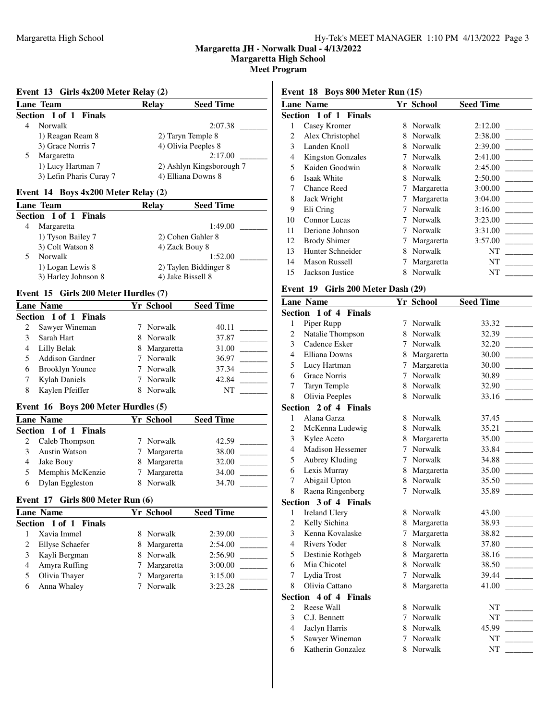**Margaretta High School**

**Meet Program**

### **Event 13 Girls 4x200 Meter Relay (2)**

| Lane Team             |                         | <b>Relay</b> | <b>Seed Time</b>         |
|-----------------------|-------------------------|--------------|--------------------------|
| Section 1 of 1 Finals |                         |              |                          |
| <b>Norwalk</b>        |                         |              | 2:07.38                  |
|                       | 1) Reagan Ream 8        |              | 2) Taryn Temple 8        |
|                       | 3) Grace Norris 7       |              | 4) Olivia Peeples 8      |
| Margaretta            |                         |              | 2:17.00                  |
|                       | 1) Lucy Hartman 7       |              | 2) Ashlyn Kingsborough 7 |
|                       | 3) Lefin Pharis Curay 7 |              | 4) Elliana Downs 8       |

## **Event 14 Boys 4x200 Meter Relay (2)**

| Lane Team             | <b>Seed Time</b><br><b>Relay</b> |
|-----------------------|----------------------------------|
| Section 1 of 1 Finals |                                  |
| Margaretta<br>4       | 1:49.00                          |
| 1) Tyson Bailey 7     | 2) Cohen Gahler 8                |
| 3) Colt Watson 8      | 4) Zack Bouy 8                   |
| Norwalk               | 1:52.00                          |
| 1) Logan Lewis 8      | 2) Taylen Biddinger 8            |
| 3) Harley Johnson 8   | 4) Jake Bissell 8                |

### **Event 15 Girls 200 Meter Hurdles (7)**

|   | <b>Lane Name</b>       | Yr School    | <b>Seed Time</b> |
|---|------------------------|--------------|------------------|
|   | Section 1 of 1 Finals  |              |                  |
|   | Sawyer Wineman         | 7 Norwalk    | 40.11            |
|   | Sarah Hart             | 8 Norwalk    | 37.87            |
|   | Lilly Belak            | 8 Margaretta | 31.00            |
|   | Addison Gardner        | 7 Norwalk    | 36.97            |
| 6 | <b>Brooklyn Younce</b> | 7 Norwalk    | 37.34            |
|   | <b>Kylah Daniels</b>   | 7 Norwalk    | 42.84            |
| 8 | Kaylen Pfeiffer        | Norwalk      | NT               |

# **Event 16 Boys 200 Meter Hurdles (5)**

| <b>Lane Name</b><br>Section 1 of 1 Finals |                      |               | Yr School    | <b>Seed Time</b> |
|-------------------------------------------|----------------------|---------------|--------------|------------------|
|                                           |                      |               |              |                  |
|                                           | Caleb Thompson       |               | 7 Norwalk    | 42.59            |
|                                           | <b>Austin Watson</b> | Ί             | Margaretta   | 38.00            |
|                                           | Jake Bouy            |               | 8 Margaretta | 32.00            |
|                                           | Memphis McKenzie     | $\frac{1}{2}$ | Margaretta   | 34.00            |
|                                           | Dylan Eggleston      |               | Norwalk      | 34.70            |

## **Event 17 Girls 800 Meter Run (6)**

| <b>Lane Name</b>             | Yr School |            | <b>Seed Time</b>   |
|------------------------------|-----------|------------|--------------------|
| <b>Section 1 of 1 Finals</b> |           |            |                    |
| Xavia Immel                  | 8.        |            | 2:39.00            |
| <b>Ellyse Schaefer</b>       | 8.        | Margaretta | 2:54.00            |
| Kayli Bergman                | 8.        |            | 2:56.90            |
| Amyra Ruffing                |           | Margaretta | 3:00.00            |
| Olivia Thayer                | Τ         | Margaretta | 3:15.00            |
| Anna Whaley                  |           | Norwalk    | 3:23.28            |
|                              |           |            | Norwalk<br>Norwalk |

### **Event 18 Boys 800 Meter Run (15)**

|    | <b>Lane Name</b>         |   | Yr School  | <b>Seed Time</b> |
|----|--------------------------|---|------------|------------------|
|    | Section 1 of 1 Finals    |   |            |                  |
| 1  | Casey Kromer             | 8 | Norwalk    | 2:12.00          |
| 2  | Alex Christophel         | 8 | Norwalk    | 2:38.00          |
| 3  | Landen Knoll             | 8 | Norwalk    | 2:39.00          |
| 4  | <b>Kingston Gonzales</b> | 7 | Norwalk    | 2:41.00          |
| 5  | Kaiden Goodwin           | 8 | Norwalk    | 2:45.00          |
| 6  | Isaak White              | 8 | Norwalk    | 2:50.00          |
| 7  | <b>Chance Reed</b>       | 7 | Margaretta | 3:00.00          |
| 8  | Jack Wright              |   | Margaretta | 3:04.00          |
| 9  | Eli Cring                | 7 | Norwalk    | 3:16.00          |
| 10 | Connor Lucas             |   | Norwalk    | 3:23.00          |
| 11 | Derione Johnson          | 7 | Norwalk    | 3:31.00          |
| 12 | <b>Brody Shimer</b>      | 7 | Margaretta | 3:57.00          |
| 13 | Hunter Schneider         | 8 | Norwalk    | NT               |
| 14 | <b>Mason Russell</b>     |   | Margaretta | NT               |
| 15 | Jackson Justice          | 8 | Norwalk    | NT               |
|    |                          |   |            |                  |

| Event 19 Girls 200 Meter Dash (29) |                                 |   |            |                  |
|------------------------------------|---------------------------------|---|------------|------------------|
|                                    | <b>Lane Name</b>                |   | Yr School  | <b>Seed Time</b> |
|                                    | Section 1 of 4<br><b>Finals</b> |   |            |                  |
| 1                                  | Piper Rupp                      | 7 | Norwalk    | 33.32            |
| 2                                  | Natalie Thompson                | 8 | Norwalk    | 32.39            |
| 3                                  | Cadence Esker                   | 7 | Norwalk    | 32.20            |
| 4                                  | <b>Elliana Downs</b>            | 8 | Margaretta | 30.00            |
| 5                                  | Lucy Hartman                    | 7 | Margaretta | 30.00            |
| 6                                  | <b>Grace Norris</b>             | 7 | Norwalk    | 30.89            |
| 7                                  | Taryn Temple                    | 8 | Norwalk    | 32.90            |
| 8                                  | Olivia Peeples                  | 8 | Norwalk    | 33.16            |
|                                    | Section 2 of 4 Finals           |   |            |                  |
| 1                                  | Alana Garza                     | 8 | Norwalk    | 37.45            |
| $\overline{c}$                     | McKenna Ludewig                 | 8 | Norwalk    | 35.21            |
| 3                                  | Kylee Aceto                     | 8 | Margaretta | 35.00            |
| 4                                  | <b>Madison Hessemer</b>         | 7 | Norwalk    | 33.84            |
| 5                                  | Aubrey Kluding                  | 7 | Norwalk    | 34.88            |
| 6                                  | Lexis Murray                    | 8 | Margaretta | 35.00            |
| 7                                  | Abigail Upton                   | 8 | Norwalk    | 35.50            |
| 8                                  | Raena Ringenberg                | 7 | Norwalk    | 35.89            |
|                                    | Section 3 of 4 Finals           |   |            |                  |
| 1                                  | <b>Ireland Ulery</b>            | 8 | Norwalk    | 43.00            |
| $\overline{c}$                     | Kelly Sichina                   | 8 | Margaretta | 38.93            |
| 3                                  | Kenna Kovalaske                 | 7 | Margaretta | 38.82            |
| 4                                  | <b>Rivers Yoder</b>             | 8 | Norwalk    | 37.80            |
| 5                                  | Destinie Rothgeb                | 8 | Margaretta | 38.16            |
| 6                                  | Mia Chicotel                    | 8 | Norwalk    | 38.50            |
| 7                                  | Lydia Trost                     | 7 | Norwalk    | 39.44            |
| 8                                  | Olivia Cattano                  | 8 | Margaretta | 41.00            |
| Section                            | 4 of 4 Finals                   |   |            |                  |
| $\overline{c}$                     | Reese Wall                      | 8 | Norwalk    | NT               |
| 3                                  | C.J. Bennett                    | 7 | Norwalk    | NT               |
| $\overline{4}$                     | Jaclyn Harris                   | 8 | Norwalk    | 45.99            |
| 5                                  | Sawyer Wineman                  | 7 | Norwalk    | NT               |
| 6                                  | Katherin Gonzalez               | 8 | Norwalk    | NT               |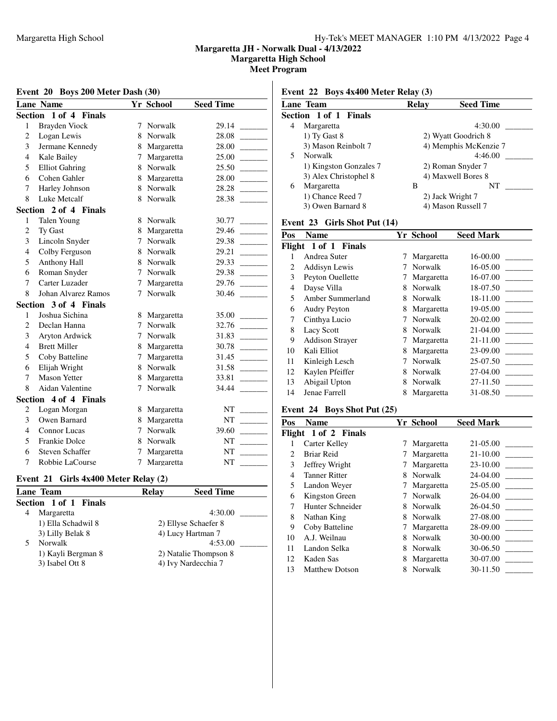**Margaretta High School**

### **Meet Program**

### **Event 20 Boys 200 Meter Dash (30)**

| Event 22 Boys 4x400 Meter Relay (3) |  |  |  |  |  |  |
|-------------------------------------|--|--|--|--|--|--|
|-------------------------------------|--|--|--|--|--|--|

|                | <b>Lane Name</b>       |             | Yr School    | <b>Seed Time</b> |
|----------------|------------------------|-------------|--------------|------------------|
|                | Section 1 of 4 Finals  |             |              |                  |
| 1              | Brayden Viock          | 7           | Norwalk      | 29.14            |
| $\overline{c}$ | Logan Lewis            | 8           | Norwalk      | 28.08            |
| 3              | Jermane Kennedy        | 8           | Margaretta   | 28.00            |
| $\overline{4}$ | Kale Bailey            | 7           | Margaretta   | 25.00            |
| 5              | <b>Elliot Gahring</b>  |             | 8 Norwalk    | 25.50            |
| 6              | Cohen Gahler           | 8           | Margaretta   | 28.00            |
| 7              | Harley Johnson         |             | 8 Norwalk    | 28.28            |
| 8              | Luke Metcalf           | 8           | Norwalk      | 28.38            |
|                | Section 2 of 4 Finals  |             |              |                  |
| 1              | Talen Young            | 8           | Norwalk      | 30.77            |
| 2              | Ty Gast                |             | 8 Margaretta | 29.46            |
| 3              | Lincoln Snyder         | $7^{\circ}$ | Norwalk      | 29.38            |
| $\overline{4}$ | Colby Ferguson         | 8           | Norwalk      | 29.21            |
| 5              | Anthony Hall           | 8           | Norwalk      | 29.33            |
| 6              | Roman Snyder           | 7           | Norwalk      | 29.38            |
| 7              | Carter Luzader         | 7           | Margaretta   | 29.76            |
| 8              | Johan Alvarez Ramos    | 7           | Norwalk      | 30.46            |
|                | Section 3 of 4 Finals  |             |              |                  |
| $\mathbf{1}$   | Joshua Sichina         |             | 8 Margaretta | 35.00            |
| $\overline{c}$ | Declan Hanna           | $\tau$      | Norwalk      | 32.76            |
| 3              | Aryton Ardwick         | 7           | Norwalk      | 31.83            |
| $\overline{4}$ | <b>Brett Miller</b>    | 8           | Margaretta   | 30.78            |
| 5              | Coby Batteline         | 7           | Margaretta   | 31.45            |
| 6              | Elijah Wright          | 8           | Norwalk      | 31.58            |
| 7              | <b>Mason Yetter</b>    |             | 8 Margaretta | 33.81            |
| 8              | Aidan Valentine        | 7           | Norwalk      | 34.44            |
|                | Section 4 of 4 Finals  |             |              |                  |
| 2              | Logan Morgan           | 8           | Margaretta   | NT               |
| 3              | Owen Barnard           | 8           | Margaretta   | NT               |
| 4              | <b>Connor Lucas</b>    | 7           | Norwalk      | 39.60            |
| 5              | <b>Frankie Dolce</b>   | 8           | Norwalk      | <b>NT</b>        |
| 6              | <b>Steven Schaffer</b> | 7           | Margaretta   | NT               |
| 7              | Robbie LaCourse        | 7           | Margaretta   | NT               |

### **Event 21 Girls 4x400 Meter Relay (2)**

|   | Lane Team             | Relav | <b>Seed Time</b>      |
|---|-----------------------|-------|-----------------------|
|   | Section 1 of 1 Finals |       |                       |
| 4 | Margaretta            |       | 4:30.00               |
|   | 1) Ella Schadwil 8    |       | 2) Ellyse Schaefer 8  |
|   | 3) Lilly Belak 8      |       | 4) Lucy Hartman 7     |
|   | Norwalk               |       | 4:53.00               |
|   | 1) Kayli Bergman 8    |       | 2) Natalie Thompson 8 |
|   | 3) Isabel Ott 8       |       | 4) Ivy Nardecchia 7   |

| <b>Lane Team</b>       | <b>Relay</b> | <b>Seed Time</b>      |
|------------------------|--------------|-----------------------|
| Section 1 of 1 Finals  |              |                       |
| Margaretta<br>4        |              | 4:30.00               |
| 1) Ty Gast 8           |              | 2) Wyatt Goodrich 8   |
| 3) Mason Reinbolt 7    |              | 4) Memphis McKenzie 7 |
| Norwalk<br>5           |              | 4:46.00               |
| 1) Kingston Gonzales 7 |              | 2) Roman Snyder 7     |
| 3) Alex Christophel 8  |              | 4) Maxwell Bores 8    |
| Margaretta<br>6        | В            | NT                    |
| 1) Chance Reed 7       |              | 2) Jack Wright 7      |
| 3) Owen Barnard 8      |              | 4) Mason Russell 7    |
|                        |              |                       |

# **Event 23 Girls Shot Put (14)**

| <b>Name</b>            |   |            | <b>Seed Mark</b> |
|------------------------|---|------------|------------------|
| Flight 1 of 1 Finals   |   |            |                  |
| Andrea Suter           |   | Margaretta | 16-00.00         |
| Addisyn Lewis          |   | Norwalk    | 16-05.00         |
| Peyton Ouellette       |   | Margaretta | 16-07.00         |
| Dayse Villa            | 8 | Norwalk    | 18-07.50         |
| Amber Summerland       | 8 | Norwalk    | 18-11.00         |
| <b>Audry Peyton</b>    | 8 | Margaretta | 19-05.00         |
| Cinthya Lucio          | 7 | Norwalk    | 20-02.00         |
| <b>Lacy Scott</b>      | 8 | Norwalk    | 21-04.00         |
| <b>Addison Straver</b> | 7 | Margaretta | 21-11.00         |
| Kali Elliot            | 8 | Margaretta | 23-09.00         |
| Kinleigh Lesch         |   | Norwalk    | 25-07.50         |
| Kaylen Pfeiffer        | 8 | Norwalk    | 27-04.00         |
| Abigail Upton          | 8 | Norwalk    | 27-11.50         |
| Jenae Farrell          | 8 | Margaretta | 31-08.50         |
|                        |   |            | <b>Yr School</b> |

## **Event 24 Boys Shot Put (25)**

| Pos | <b>Name</b>           |   | Yr School  | <b>Seed Mark</b> |
|-----|-----------------------|---|------------|------------------|
|     | Flight 1 of 2 Finals  |   |            |                  |
|     | Carter Kelley         |   | Margaretta | 21-05.00         |
| 2   | Briar Reid            |   | Margaretta | 21-10.00         |
| 3   | Jeffrey Wright        |   | Margaretta | 23-10.00         |
| 4   | <b>Tanner Ritter</b>  | 8 | Norwalk    | 24-04.00         |
| 5   | Landon Weyer          | 7 | Margaretta | 25-05.00         |
| 6   | Kingston Green        | 7 | Norwalk    | 26-04.00         |
| 7   | Hunter Schneider      | 8 | Norwalk    | $26-04.50$       |
| 8   | Nathan King           | 8 | Norwalk    | 27-08.00         |
| 9   | Coby Batteline        | 7 | Margaretta | 28-09.00         |
| 10  | A.J. Weilnau          | 8 | Norwalk    | 30-00.00         |
| 11  | Landon Selka          | 8 | Norwalk    | 30-06.50         |
| 12  | Kaden Sas             | 8 | Margaretta | 30-07.00         |
| 13  | <b>Matthew Dotson</b> | 8 | Norwalk    | 30-11.50         |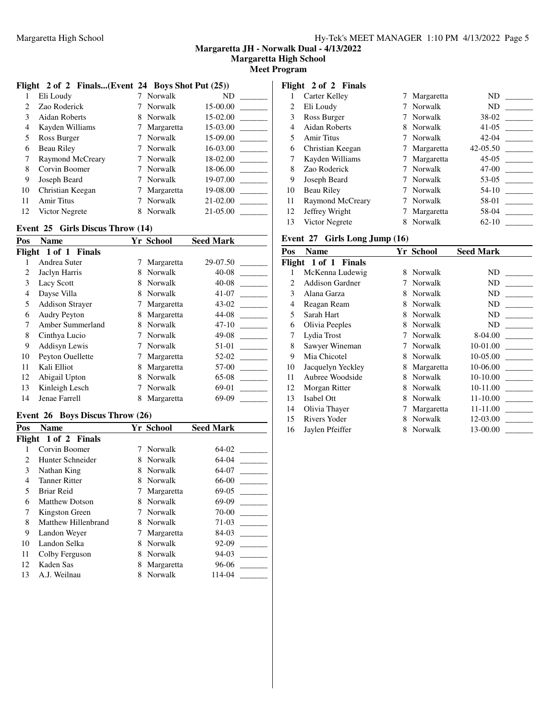**Margaretta High School**

**Meet Program**

# **Flight 2 of 2 Finals...(Event 24 Boys Shot Put (25))**

|                             | Eli Loudy        |   | Norwalk    | ND       |
|-----------------------------|------------------|---|------------|----------|
| $\mathcal{D}_{\mathcal{L}}$ | Zao Roderick     |   | Norwalk    | 15-00.00 |
| 3                           | Aidan Roberts    |   | 8 Norwalk  | 15-02.00 |
| 4                           | Kayden Williams  |   | Margaretta | 15-03.00 |
| 5                           | Ross Burger      |   | Norwalk    | 15-09.00 |
| 6                           | Beau Riley       |   | Norwalk    | 16-03.00 |
| 7                           | Raymond McCreary |   | Norwalk    | 18-02.00 |
| 8                           | Corvin Boomer    |   | Norwalk    | 18-06.00 |
| 9                           | Joseph Beard     |   | Norwalk    | 19-07.00 |
| 10                          | Christian Keegan |   | Margaretta | 19-08.00 |
| 11                          | Amir Titus       |   | Norwalk    | 21-02.00 |
| 12                          | Victor Negrete   | 8 | Norwalk    | 21-05.00 |

### **Event 25 Girls Discus Throw (14)**

| Pos    | <b>Name</b>            |   | <b>Yr School</b> | <b>Seed Mark</b> |
|--------|------------------------|---|------------------|------------------|
| Flight | 1 of 1 Finals          |   |                  |                  |
|        | Andrea Suter           | 7 | Margaretta       | 29-07.50         |
| 2      | Jaclyn Harris          | 8 | Norwalk          | $40 - 08$        |
| 3      | Lacy Scott             | 8 | Norwalk          | 40-08            |
| 4      | Dayse Villa            | 8 | Norwalk          | $41 - 07$        |
| 5      | <b>Addison Straver</b> |   | Margaretta       | 43-02            |
| 6      | <b>Audry Peyton</b>    | 8 | Margaretta       | 44-08            |
| 7      | Amber Summerland       | 8 | Norwalk          | $47 - 10$        |
| 8      | Cinthya Lucio          |   | Norwalk          | 49-08            |
| 9      | Addisyn Lewis          |   | Norwalk          | 51-01            |
| 10     | Peyton Ouellette       |   | Margaretta       | 52-02            |
| 11     | Kali Elliot            | 8 | Margaretta       | 57-00            |
| 12     | Abigail Upton          | 8 | Norwalk          | $65-08$          |
| 13     | Kinleigh Lesch         |   | Norwalk          | 69-01            |
| 14     | Jenae Farrell          | 8 | Margaretta       | 69-09            |

### **Event 26 Boys Discus Throw (26)**

| Pos | <b>Name</b>           |   | <b>Yr School</b> | <b>Seed Mark</b> |
|-----|-----------------------|---|------------------|------------------|
|     | Flight 1 of 2 Finals  |   |                  |                  |
|     | Corvin Boomer         |   | Norwalk          | $64-02$          |
| 2   | Hunter Schneider      | 8 | Norwalk          | $64-04$          |
| 3   | Nathan King           | 8 | Norwalk          | 64-07            |
| 4   | <b>Tanner Ritter</b>  | 8 | Norwalk          | 66-00            |
| 5   | Briar Reid            |   | Margaretta       | $69-05$          |
| 6   | <b>Matthew Dotson</b> | 8 | Norwalk          | 69-09            |
| 7   | Kingston Green        |   | Norwalk          | 70-00            |
| 8   | Matthew Hillenbrand   | 8 | Norwalk          | 71-03            |
| 9   | Landon Weyer          | 7 | Margaretta       | 84-03            |
| 10  | Landon Selka          | 8 | Norwalk          | 92-09            |
| 11  | Colby Ferguson        | 8 | Norwalk          | 94-03            |
| 12  | Kaden Sas             | 8 | Margaretta       | 96-06            |
| 13  | A.J. Weilnau          | 8 | Norwalk          | 114-04           |

# **Flight 2 of 2 Finals**

| 1  | Carter Kelley     |   | Margaretta | ND                                       |
|----|-------------------|---|------------|------------------------------------------|
| 2  | Eli Loudy         |   | Norwalk    | ND                                       |
| 3  | Ross Burger       |   | Norwalk    | 38-02                                    |
| 4  | Aidan Roberts     | 8 | Norwalk    | $41-05$                                  |
| 5  | Amir Titus        |   | 7 Norwalk  | $42 - 04$<br><b>Contract Contract</b>    |
| 6  | Christian Keegan  |   | Margaretta | $42 - 05.50$<br><b>Contract Contract</b> |
| 7  | Kayden Williams   |   | Margaretta | 45-05                                    |
| 8  | Zao Roderick      |   | Norwalk    | 47-00                                    |
| 9  | Joseph Beard      |   | 7 Norwalk  | 53-05                                    |
| 10 | <b>Beau Riley</b> |   | Norwalk    | 54-10                                    |
| 11 | Raymond McCreary  |   | Norwalk    | 58-01                                    |
| 12 | Jeffrey Wright    |   | Margaretta | 58-04                                    |
| 13 | Victor Negrete    |   | Norwalk    | $62 - 10$                                |

|                | Event 27 Girls Long Jump (16) |   |            |           |  |
|----------------|-------------------------------|---|------------|-----------|--|
| Pos            | Name                          |   | Yr School  | Seed Mark |  |
|                | Flight 1 of 1 Finals          |   |            |           |  |
| 1              | McKenna Ludewig               | 8 | Norwalk    | ND        |  |
| $\mathfrak{D}$ | <b>Addison Gardner</b>        | 7 | Norwalk    | ND        |  |
| 3              | Alana Garza                   | 8 | Norwalk    | ND        |  |
| 4              | Reagan Ream                   | 8 | Norwalk    | ND        |  |
| 5              | Sarah Hart                    | 8 | Norwalk    | ND        |  |
| 6              | Olivia Peeples                | 8 | Norwalk    | ND        |  |
| 7              | Lydia Trost                   | 7 | Norwalk    | 8-04.00   |  |
| 8              | Sawyer Wineman                | 7 | Norwalk    | 10-01.00  |  |
| 9              | Mia Chicotel                  | 8 | Norwalk    | 10-05.00  |  |
| 10             | Jacquelyn Yeckley             | 8 | Margaretta | 10-06.00  |  |
| 11             | Aubree Woodside               | 8 | Norwalk    | 10-10.00  |  |
| 12             | Morgan Ritter                 | 8 | Norwalk    | 10-11.00  |  |
| 13             | Isabel Ott                    | 8 | Norwalk    | 11-10.00  |  |
| 14             | Olivia Thayer                 | 7 | Margaretta | 11-11.00  |  |
| 15             | Rivers Yoder                  | 8 | Norwalk    | 12-03.00  |  |
| 16             | Jaylen Pfeiffer               | 8 | Norwalk    | 13-00.00  |  |